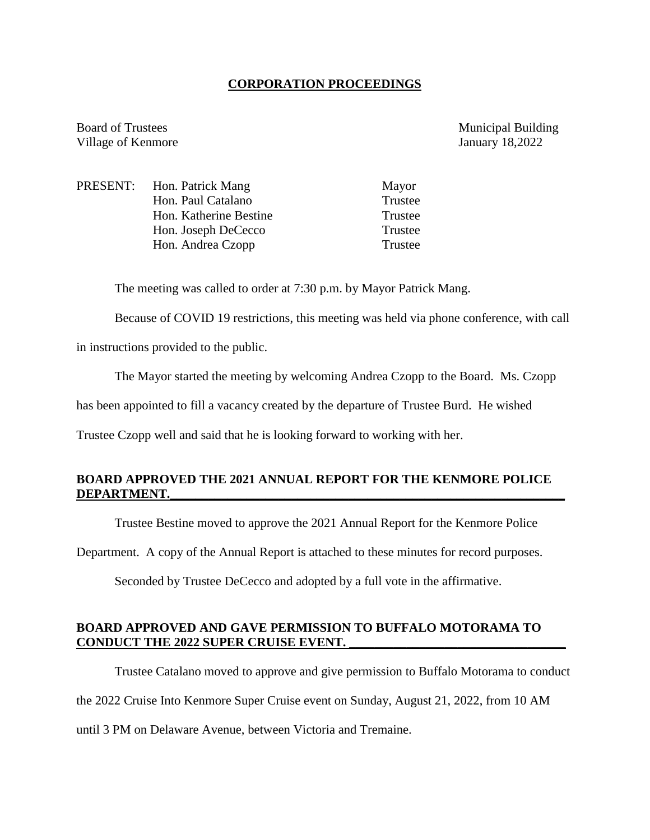## **CORPORATION PROCEEDINGS**

Board of Trustees Municipal Building Village of Kenmore January 18,2022

PRESENT: Hon. Patrick Mang Mayor Hon. Paul Catalano Trustee Hon. Katherine Bestine Trustee Hon. Joseph DeCecco Trustee Hon. Andrea Czopp Trustee

The meeting was called to order at 7:30 p.m. by Mayor Patrick Mang.

Because of COVID 19 restrictions, this meeting was held via phone conference, with call

in instructions provided to the public.

The Mayor started the meeting by welcoming Andrea Czopp to the Board. Ms. Czopp

has been appointed to fill a vacancy created by the departure of Trustee Burd. He wished

Trustee Czopp well and said that he is looking forward to working with her.

# **BOARD APPROVED THE 2021 ANNUAL REPORT FOR THE KENMORE POLICE DEPARTMENT.\_\_\_\_\_\_\_\_\_\_\_\_\_\_\_\_\_\_\_\_\_\_\_\_\_\_\_\_\_\_\_\_\_\_\_\_\_\_\_\_\_\_\_\_\_\_\_\_\_\_\_\_\_\_\_\_\_\_\_\_\_\_**

Trustee Bestine moved to approve the 2021 Annual Report for the Kenmore Police

Department. A copy of the Annual Report is attached to these minutes for record purposes.

Seconded by Trustee DeCecco and adopted by a full vote in the affirmative.

#### **BOARD APPROVED AND GAVE PERMISSION TO BUFFALO MOTORAMA TO CONDUCT THE 2022 SUPER CRUISE EVENT. \_\_\_\_\_\_\_\_\_\_\_\_\_\_\_\_\_\_\_\_\_\_\_\_\_\_\_\_\_\_\_\_\_\_**

Trustee Catalano moved to approve and give permission to Buffalo Motorama to conduct the 2022 Cruise Into Kenmore Super Cruise event on Sunday, August 21, 2022, from 10 AM until 3 PM on Delaware Avenue, between Victoria and Tremaine.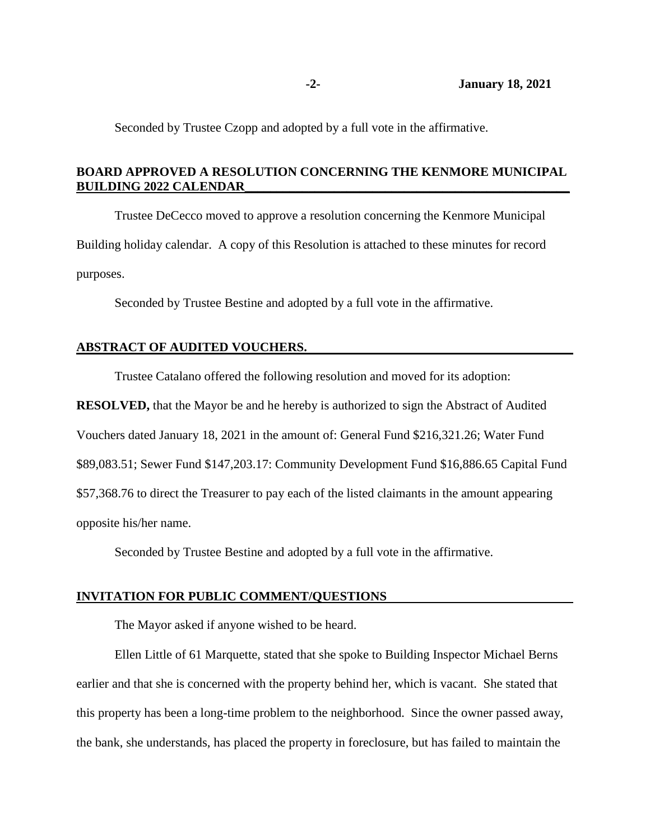Seconded by Trustee Czopp and adopted by a full vote in the affirmative.

# **BOARD APPROVED A RESOLUTION CONCERNING THE KENMORE MUNICIPAL BUILDING 2022 CALENDAR\_\_\_\_\_\_\_\_\_\_\_\_\_\_\_\_\_\_\_\_\_\_\_\_\_\_\_\_\_\_\_\_\_\_\_\_\_\_\_\_\_\_\_\_\_\_\_\_\_\_\_**

Trustee DeCecco moved to approve a resolution concerning the Kenmore Municipal Building holiday calendar. A copy of this Resolution is attached to these minutes for record purposes.

Seconded by Trustee Bestine and adopted by a full vote in the affirmative.

## **ABSTRACT OF AUDITED VOUCHERS.**

Trustee Catalano offered the following resolution and moved for its adoption:

**RESOLVED,** that the Mayor be and he hereby is authorized to sign the Abstract of Audited Vouchers dated January 18, 2021 in the amount of: General Fund \$216,321.26; Water Fund \$89,083.51; Sewer Fund \$147,203.17: Community Development Fund \$16,886.65 Capital Fund \$57,368.76 to direct the Treasurer to pay each of the listed claimants in the amount appearing opposite his/her name.

Seconded by Trustee Bestine and adopted by a full vote in the affirmative.

#### **INVITATION FOR PUBLIC COMMENT/QUESTIONS**

The Mayor asked if anyone wished to be heard.

Ellen Little of 61 Marquette, stated that she spoke to Building Inspector Michael Berns earlier and that she is concerned with the property behind her, which is vacant. She stated that this property has been a long-time problem to the neighborhood. Since the owner passed away, the bank, she understands, has placed the property in foreclosure, but has failed to maintain the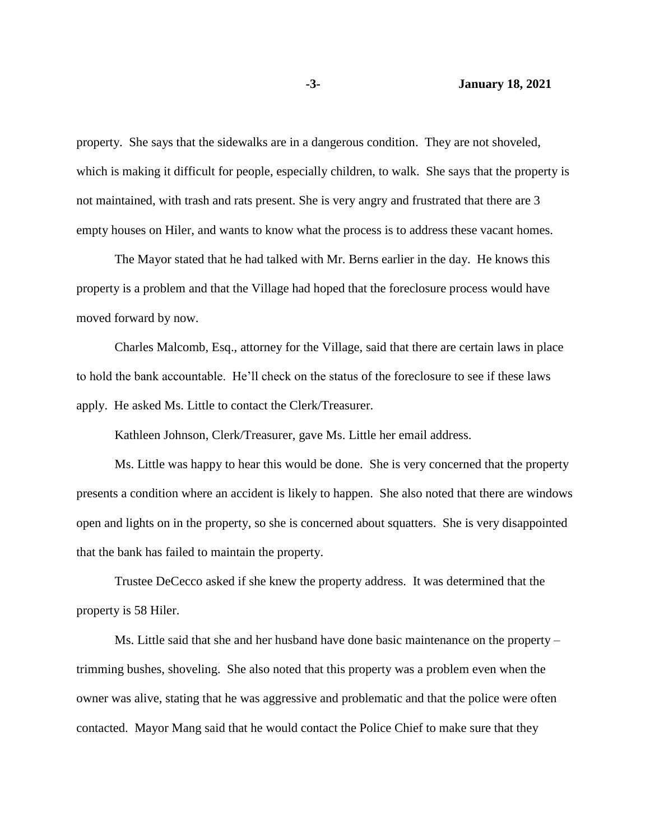property. She says that the sidewalks are in a dangerous condition. They are not shoveled, which is making it difficult for people, especially children, to walk. She says that the property is not maintained, with trash and rats present. She is very angry and frustrated that there are 3 empty houses on Hiler, and wants to know what the process is to address these vacant homes.

The Mayor stated that he had talked with Mr. Berns earlier in the day. He knows this property is a problem and that the Village had hoped that the foreclosure process would have moved forward by now.

Charles Malcomb, Esq., attorney for the Village, said that there are certain laws in place to hold the bank accountable. He'll check on the status of the foreclosure to see if these laws apply. He asked Ms. Little to contact the Clerk/Treasurer.

Kathleen Johnson, Clerk/Treasurer, gave Ms. Little her email address.

Ms. Little was happy to hear this would be done. She is very concerned that the property presents a condition where an accident is likely to happen. She also noted that there are windows open and lights on in the property, so she is concerned about squatters. She is very disappointed that the bank has failed to maintain the property.

Trustee DeCecco asked if she knew the property address. It was determined that the property is 58 Hiler.

Ms. Little said that she and her husband have done basic maintenance on the property – trimming bushes, shoveling. She also noted that this property was a problem even when the owner was alive, stating that he was aggressive and problematic and that the police were often contacted. Mayor Mang said that he would contact the Police Chief to make sure that they